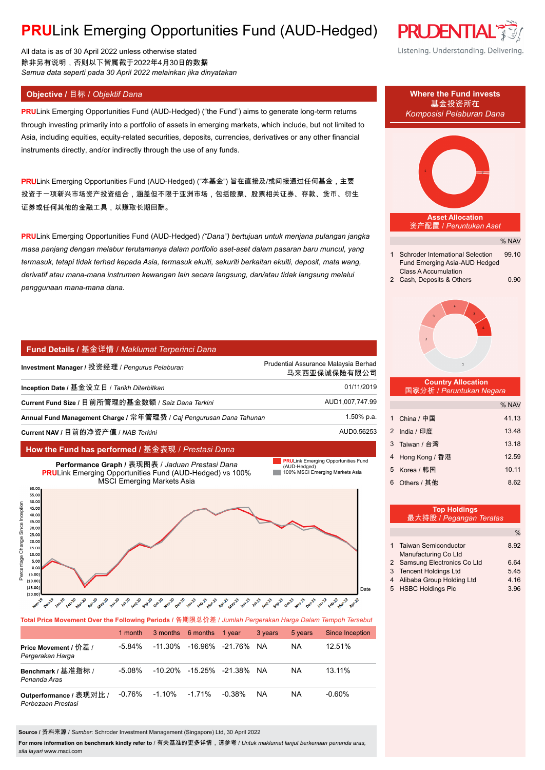# **PRU**Link Emerging Opportunities Fund (AUD-Hedged)

All data is as of 30 April 2022 unless otherwise stated 除非另有说明,否则以下皆属截于2022年4月30日的数据 *Semua data seperti pada 30 April 2022 melainkan jika dinyatakan*

**PRU**Link Emerging Opportunities Fund (AUD-Hedged) ("the Fund") aims to generate long-term returns through investing primarily into a portfolio of assets in emerging markets, which include, but not limited to Asia, including equities, equity-related securities, deposits, currencies, derivatives or any other financial instruments directly, and/or indirectly through the use of any funds.

PRULink Emerging Opportunities Fund (AUD-Hedged) ("本基金") 旨在直接及/或间接通过任何基金,主要 投资于一项新兴市场资产投资组合,涵盖但不限于亚洲市场,包括股票、股票相关证券、存款、货币、衍生 证券或任何其他的金融工具,以赚取长期回酬。

**PRU**Link Emerging Opportunities Fund (AUD-Hedged) *("Dana") bertujuan untuk menjana pulangan jangka masa panjang dengan melabur terutamanya dalam portfolio aset-aset dalam pasaran baru muncul, yang termasuk, tetapi tidak terhad kepada Asia, termasuk ekuiti, sekuriti berkaitan ekuiti, deposit, mata wang, derivatif atau mana-mana instrumen kewangan lain secara langsung, dan/atau tidak langsung melalui penggunaan mana-mana dana.*

#### **Fund Details /** 基金详情 / *Maklumat Terperinci Dana*

| Investment Manager / 投资经理 / Pengurus Pelaburan                      | Prudential Assurance Malaysia Berhad<br>马来西亚保诚保险有限公司 |
|---------------------------------------------------------------------|------------------------------------------------------|
| Inception Date / 基金设立日 / Tarikh Diterbitkan                         | 01/11/2019                                           |
| Current Fund Size / 目前所管理的基金数额 / Saiz Dana Terkini                  | AUD1,007,747.99                                      |
| Annual Fund Management Charge / 常年管理费 / Caj Pengurusan Dana Tahunan | 1.50% p.a.                                           |
| Current NAV / 目前的净资产值 / NAB Terkini                                 | AUD0.56253                                           |
|                                                                     |                                                      |

### **How the Fund has performed /** 基金表现 / *Prestasi Dana*



**Total Price Movement Over the Following Periods /** 各期限总价差 / *Jumlah Pergerakan Harga Dalam Tempoh Tersebut*

|                                               | 1 month   |        | 3 months 6 months 1 year               |           | 3 years | 5 years | Since Inception |
|-----------------------------------------------|-----------|--------|----------------------------------------|-----------|---------|---------|-----------------|
| Price Movement / 价差 /<br>Pergerakan Harga     | $-5.84\%$ |        | $-11.30\%$ $-16.96\%$ $-21.76\%$       |           | NA.     | NA      | $12.51\%$       |
| Benchmark / 基准指标 /<br>Penanda Aras            | $-5.08\%$ |        | $-10, 20\%$ $-15, 25\%$ $-21, 38\%$ NA |           |         | NA      | 13.11%          |
| Outperformance / 表现对比 /<br>Perbezaan Prestasi | $-0.76%$  | -1.10% | $-1.71\%$                              | $-0.38\%$ | NA      | NA      | $-0.60%$        |

**Source /** 资料来源 / *Sumber*: Schroder Investment Management (Singapore) Ltd, 30 April 2022

**For more information on benchmark kindly refer to** / 有关基准的更多详情,请参考 / *Untuk maklumat lanjut berkenaan penanda aras, sila layari* www.msci.com



Date



Listening. Understanding. Delivering.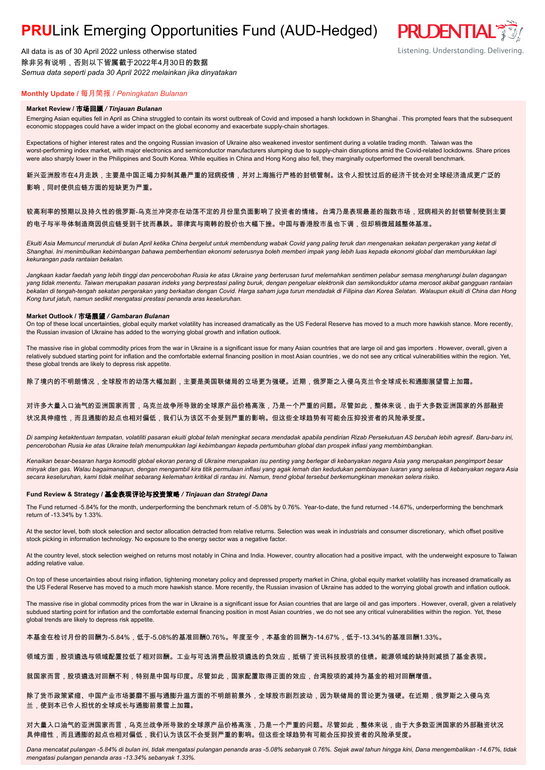## **PRU**Link Emerging Opportunities Fund (AUD-Hedged)

All data is as of 30 April 2022 unless otherwise stated 除非另有说明,否则以下皆属截于2022年4月30日的数据 *Semua data seperti pada 30 April 2022 melainkan jika dinyatakan*

### **Monthly Update /** 每月简报 / *Peningkatan Bulanan*

#### **Market Review /** 市场回顾 */ Tinjauan Bulanan*

Emerging Asian equities fell in April as China struggled to contain its worst outbreak of Covid and imposed a harsh lockdown in Shanghai . This prompted fears that the subsequent economic stoppages could have a wider impact on the global economy and exacerbate supply-chain shortages.

Expectations of higher interest rates and the ongoing Russian invasion of Ukraine also weakened investor sentiment during a volatile trading month. Taiwan was the worst-performing index market, with major electronics and semiconductor manufacturers slumping due to supply-chain disruptions amid the Covid-related lockdowns. Share prices were also sharply lower in the Philippines and South Korea. While equities in China and Hong Kong also fell, they marginally outperformed the overall benchmark.

新兴亚洲股市在4月走跌,主要是中国正竭力抑制其最严重的冠病疫情,并对上海施行严格的封锁管制。这令人担忧过后的经济干扰会对全球经济造成更广泛的 影响,同时使供应链方面的短缺更为严重。

#### 较高利率的预期以及持久性的俄罗斯-乌克兰冲突亦在动荡不定的月份里负面影响了投资者的情绪。台湾乃是表现最差的指数市场,冠病相关的封锁管制使到主要 的电子与半导体制造商因供应链受到干扰而暴跌。菲律宾与南韩的股价也大幅下挫。中国与香港股市虽也下调,但却稍微超越整体基准。

*Ekuiti Asia Memuncul merunduk di bulan April ketika China bergelut untuk membendung wabak Covid yang paling teruk dan mengenakan sekatan pergerakan yang ketat di Shanghai. Ini menimbulkan kebimbangan bahawa pemberhentian ekonomi seterusnya boleh memberi impak yang lebih luas kepada ekonomi global dan memburukkan lagi kekurangan pada rantaian bekalan.*

*Jangkaan kadar faedah yang lebih tinggi dan pencerobohan Rusia ke atas Ukraine yang berterusan turut melemahkan sentimen pelabur semasa mengharungi bulan dagangan yang tidak menentu. Taiwan merupakan pasaran indeks yang berprestasi paling buruk, dengan pengeluar elektronik dan semikonduktor utama merosot akibat gangguan rantaian bekalan di tengah-tengah sekatan pergerakan yang berkaitan dengan Covid. Harga saham juga turun mendadak di Filipina dan Korea Selatan. Walaupun ekuiti di China dan Hong Kong turut jatuh, namun sedikit mengatasi prestasi penanda aras keseluruhan.*

#### **Market Outlook /** 市场展望 */ Gambaran Bulanan*

On top of these local uncertainties, global equity market volatility has increased dramatically as the US Federal Reserve has moved to a much more hawkish stance. More recently, the Russian invasion of Ukraine has added to the worrying global growth and inflation outlook.

The massive rise in global commodity prices from the war in Ukraine is a significant issue for many Asian countries that are large oil and gas importers . However, overall, given a relatively subdued starting point for inflation and the comfortable external financing position in most Asian countries, we do not see any critical vulnerabilities within the region. Yet, these global trends are likely to depress risk appetite.

除了境内的不明朗情况,全球股市的动荡大幅加剧,主要是美国联储局的立场更为强硬。近期,俄罗斯之入侵乌克兰令全球成长和通膨展望雪上加霜。

#### 对许多大量入口油气的亚洲国家而言,乌克兰战争所导致的全球原产品价格高涨,乃是一个严重的问题。尽管如此,整体来说,由于大多数亚洲国家的外部融资 状况具伸缩性,而且通膨的起点也相对偏低,我们认为该区不会受到严重的影响。但这些全球趋势有可能会压抑投资者的风险承受度。

*Di samping ketaktentuan tempatan, volatiliti pasaran ekuiti global telah meningkat secara mendadak apabila pendirian Rizab Persekutuan AS berubah lebih agresif. Baru-baru ini, pencerobohan Rusia ke atas Ukraine telah menumpukkan lagi kebimbangan kepada pertumbuhan global dan prospek inflasi yang membimbangkan.*

*Kenaikan besar-besaran harga komoditi global ekoran perang di Ukraine merupakan isu penting yang berlegar di kebanyakan negara Asia yang merupakan pengimport besar minyak dan gas. Walau bagaimanapun, dengan mengambil kira titik permulaan inflasi yang agak lemah dan kedudukan pembiayaan luaran yang selesa di kebanyakan negara Asia secara keseluruhan, kami tidak melihat sebarang kelemahan kritikal di rantau ini. Namun, trend global tersebut berkemungkinan menekan selera risiko.*

#### **Fund Review & Strategy /** 基金表现评论与投资策略 */ Tinjauan dan Strategi Dana*

The Fund returned -5.84% for the month, underperforming the benchmark return of -5.08% by 0.76%. Year-to-date, the fund returned -14.67%, underperforming the benchmark return of -13.34% by 1.33%.

At the sector level, both stock selection and sector allocation detracted from relative returns. Selection was weak in industrials and consumer discretionary, which offset positive stock picking in information technology. No exposure to the energy sector was a negative factor.

At the country level, stock selection weighed on returns most notably in China and India. However, country allocation had a positive impact, with the underweight exposure to Taiwan adding relative value.

On top of these uncertainties about rising inflation, tightening monetary policy and depressed property market in China, global equity market volatility has increased dramatically as the US Federal Reserve has moved to a much more hawkish stance. More recently, the Russian invasion of Ukraine has added to the worrying global growth and inflation outlook.

The massive rise in global commodity prices from the war in Ukraine is a significant issue for Asian countries that are large oil and gas importers . However, overall, given a relatively subdued starting point for inflation and the comfortable external financing position in most Asian countries, we do not see any critical vulnerabilities within the region. Yet, these global trends are likely to depress risk appetite.

本基金在检讨月份的回酬为-5.84%,低于-5.08%的基准回酬0.76%。年度至今,本基金的回酬为-14.67%,低于-13.34%的基准回酬1.33%。

#### 领域方面,股项遴选与领域配置拉低了相对回酬。工业与可选消费品股项遴选的负效应,抵销了资讯科技股项的佳绩。能源领域的缺持则减损了基金表现。

就国家而言,股项遴选对回酬不利,特别是中国与印度。尽管如此,国家配置取得正面的效应,台湾股项的减持为基金的相对回酬增值。

除了货币政策紧缩、中国产业市场萎靡不振与通膨升温方面的不明朗前景外,全球股市剧烈波动,因为联储局的言论更为强硬。在近期,俄罗斯之入侵乌克 兰,使到本已令人担忧的全球成长与通膨前景雪上加霜。

对大量入口油气的亚洲国家而言,乌克兰战争所导致的全球原产品价格高涨,乃是一个严重的问题。尽管如此,整体来说,由于大多数亚洲国家的外部融资状况 具伸缩性,而且通膨的起点也相对偏低,我们认为该区不会受到严重的影响。但这些全球趋势有可能会压抑投资者的风险承受度。

*Dana mencatat pulangan -5.84% di bulan ini, tidak mengatasi pulangan penanda aras -5.08% sebanyak 0.76%. Sejak awal tahun hingga kini, Dana mengembalikan -14.67%, tidak mengatasi pulangan penanda aras -13.34% sebanyak 1.33%.*